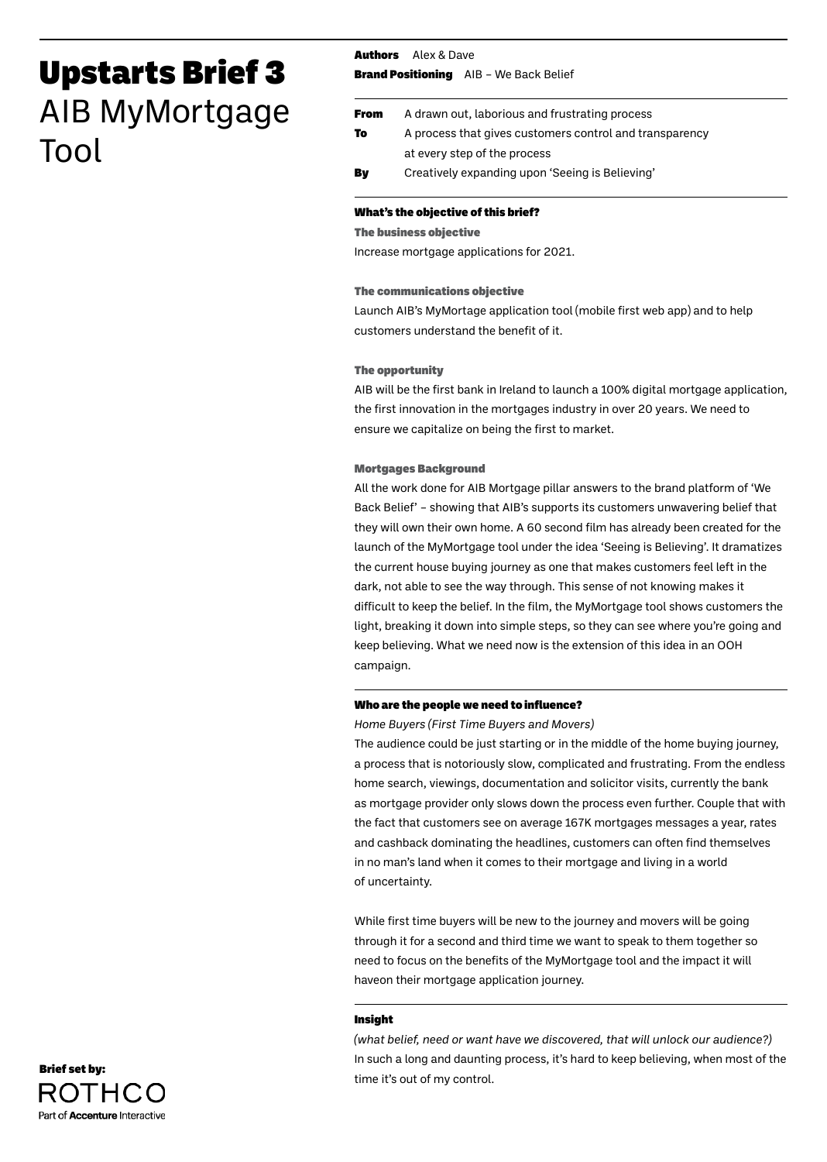# Upstarts Brief 3 AIB MyMortgage Tool

Authors Alex & Dave

**Brand Positioning** AIB - We Back Belief

| <b>From</b> | A drawn out, laborious and frustrating process          |
|-------------|---------------------------------------------------------|
| To          | A process that gives customers control and transparency |
|             | at every step of the process                            |
| By          | Creatively expanding upon 'Seeing is Believing'         |

## What's the objective of this brief?

### The business objective

Increase mortgage applications for 2021.

## The communications objective

Launch AIB's MyMortage application tool (mobile first web app) and to help customers understand the benefit of it.

## The opportunity

AIB will be the first bank in Ireland to launch a 100% digital mortgage application, the first innovation in the mortgages industry in over 20 years. We need to ensure we capitalize on being the first to market.

## Mortgages Background

All the work done for AIB Mortgage pillar answers to the brand platform of 'We Back Belief' – showing that AIB's supports its customers unwavering belief that they will own their own home. A 60 second film has already been created for the launch of the MyMortgage tool under the idea 'Seeing is Believing'. It dramatizes the current house buying journey as one that makes customers feel left in the dark, not able to see the way through. This sense of not knowing makes it difficult to keep the belief. In the film, the MyMortgage tool shows customers the light, breaking it down into simple steps, so they can see where you're going and keep believing. What we need now is the extension of this idea in an OOH campaign.

# Who are the people we need to influence?

*Home Buyers (First Time Buyers and Movers)*

The audience could be just starting or in the middle of the home buying journey, a process that is notoriously slow, complicated and frustrating. From the endless home search, viewings, documentation and solicitor visits, currently the bank as mortgage provider only slows down the process even further. Couple that with the fact that customers see on average 167K mortgages messages a year, rates and cashback dominating the headlines, customers can often find themselves in no man's land when it comes to their mortgage and living in a world of uncertainty.

While first time buyers will be new to the journey and movers will be going through it for a second and third time we want to speak to them together so need to focus on the benefits of the MyMortgage tool and the impact it will haveon their mortgage application journey.

## Insight

*(what belief, need or want have we discovered, that will unlock our audience?)* In such a long and daunting process, it's hard to keep believing, when most of the time it's out of my control.